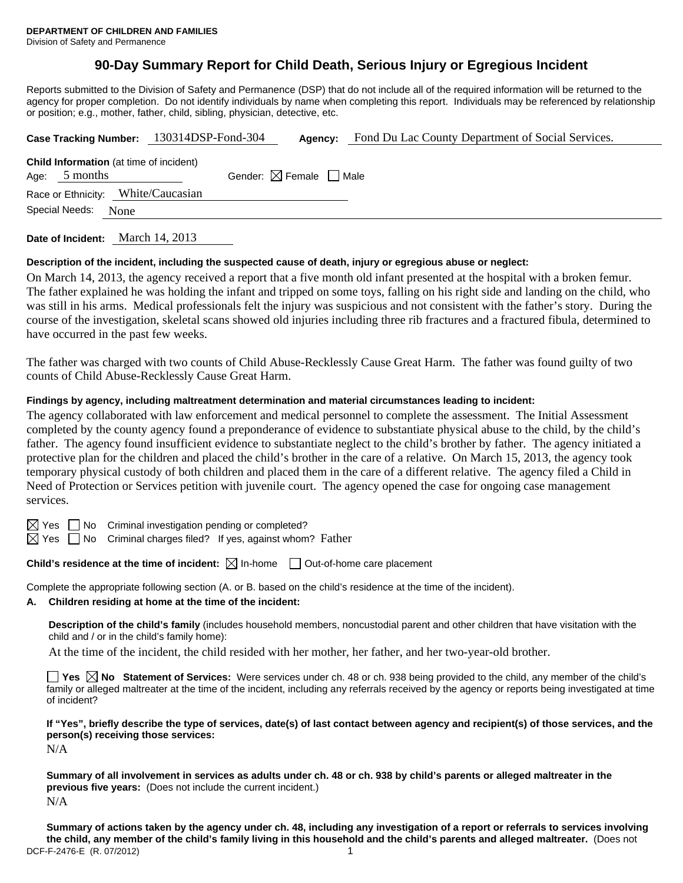# **90-Day Summary Report for Child Death, Serious Injury or Egregious Incident**

Reports submitted to the Division of Safety and Permanence (DSP) that do not include all of the required information will be returned to the agency for proper completion. Do not identify individuals by name when completing this report. Individuals may be referenced by relationship or position; e.g., mother, father, child, sibling, physician, detective, etc.

| Case Tracking Number: 130314DSP-Fond-304                           |  | Agency:                                | Fond Du Lac County Department of Social Services. |  |  |  |  |
|--------------------------------------------------------------------|--|----------------------------------------|---------------------------------------------------|--|--|--|--|
| <b>Child Information</b> (at time of incident)<br>5 months<br>Age: |  | Gender: $\boxtimes$ Female $\Box$ Male |                                                   |  |  |  |  |
| Race or Ethnicity: White/Caucasian                                 |  |                                        |                                                   |  |  |  |  |
| Special Needs:<br>None                                             |  |                                        |                                                   |  |  |  |  |
|                                                                    |  |                                        |                                                   |  |  |  |  |

**Date of Incident:** March 14, 2013

### **Description of the incident, including the suspected cause of death, injury or egregious abuse or neglect:**

On March 14, 2013, the agency received a report that a five month old infant presented at the hospital with a broken femur. The father explained he was holding the infant and tripped on some toys, falling on his right side and landing on the child, who was still in his arms. Medical professionals felt the injury was suspicious and not consistent with the father's story. During the course of the investigation, skeletal scans showed old injuries including three rib fractures and a fractured fibula, determined to have occurred in the past few weeks.

The father was charged with two counts of Child Abuse-Recklessly Cause Great Harm. The father was found guilty of two counts of Child Abuse-Recklessly Cause Great Harm.

### **Findings by agency, including maltreatment determination and material circumstances leading to incident:**

The agency collaborated with law enforcement and medical personnel to complete the assessment. The Initial Assessment completed by the county agency found a preponderance of evidence to substantiate physical abuse to the child, by the child's father. The agency found insufficient evidence to substantiate neglect to the child's brother by father. The agency initiated a protective plan for the children and placed the child's brother in the care of a relative. On March 15, 2013, the agency took temporary physical custody of both children and placed them in the care of a different relative. The agency filed a Child in Need of Protection or Services petition with juvenile court. The agency opened the case for ongoing case management services.

 $\boxtimes$  Yes  $\Box$  No Criminal investigation pending or completed?

 $\boxtimes$  Yes  $\Box$  No Criminal charges filed? If yes, against whom? Father

**Child's residence at the time of incident:** ⊠ In-home □ Out-of-home care placement

Complete the appropriate following section (A. or B. based on the child's residence at the time of the incident).

### **A. Children residing at home at the time of the incident:**

**Description of the child's family** (includes household members, noncustodial parent and other children that have visitation with the child and / or in the child's family home):

At the time of the incident, the child resided with her mother, her father, and her two-year-old brother.

**Yes No Statement of Services:** Were services under ch. 48 or ch. 938 being provided to the child, any member of the child's family or alleged maltreater at the time of the incident, including any referrals received by the agency or reports being investigated at time of incident?

**If "Yes", briefly describe the type of services, date(s) of last contact between agency and recipient(s) of those services, and the person(s) receiving those services:** 

N/A

**Summary of all involvement in services as adults under ch. 48 or ch. 938 by child's parents or alleged maltreater in the previous five years:** (Does not include the current incident.) N/A

DCF-F-2476-E (R. 07/2012) 1 **Summary of actions taken by the agency under ch. 48, including any investigation of a report or referrals to services involving the child, any member of the child's family living in this household and the child's parents and alleged maltreater.** (Does not